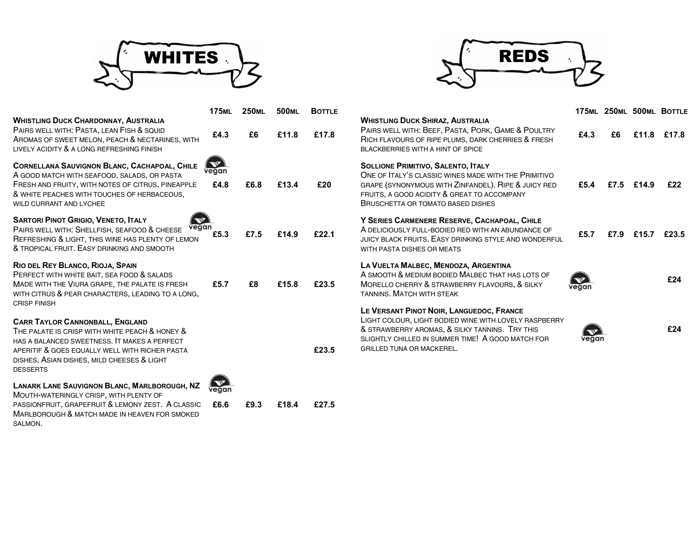

SALMON.



|                                                                                                                                                                                                                                                             | <b>175ML</b>                    | <b>250ML</b> |       | 500ML BOTTLE                                                                                                                                                                           |                                                                                                                                                                                                                                              |       |      |       | 175ML 250ML 500ML BOTTLE |
|-------------------------------------------------------------------------------------------------------------------------------------------------------------------------------------------------------------------------------------------------------------|---------------------------------|--------------|-------|----------------------------------------------------------------------------------------------------------------------------------------------------------------------------------------|----------------------------------------------------------------------------------------------------------------------------------------------------------------------------------------------------------------------------------------------|-------|------|-------|--------------------------|
| <b>WHISTLING DUCK CHARDONNAY, AUSTRALIA</b><br>PAIRS WELL WITH: PASTA, LEAN FISH & SQUID<br>AROMAS OF SWEET MELON, PEACH & NECTARINES, WITH<br>LIVELY ACIDITY & A LONG REFRESHING FINISH                                                                    | £4.3                            | £6           | £11.8 | £17.8                                                                                                                                                                                  | <b>WHISTLING DUCK SHIRAZ, AUSTRALIA</b><br>PAIRS WELL WITH: BEEF, PASTA, PORK, GAME & POULTRY<br>RICH FLAVOURS OF RIPE PLUMS, DARK CHERRIES & FRESH<br>BLACKBERRIES WITH A HINT OF SPICE                                                     | £4.3  | £6   |       | £11.8 £17.8              |
| CORNELLANA SAUVIGNON BLANC, CACHAPOAL, CHILE<br>A GOOD MATCH WITH SEAFOOD, SALADS, OR PASTA<br>FRESH AND FRUITY, WITH NOTES OF CITRUS, PINEAPPLE<br>& WHITE PEACHES WITH TOUCHES OF HERBACEOUS.<br>WILD CURRANT AND LYCHEE                                  | $Q_{\text{R}}$<br>vegan<br>£4.8 | £6.8         | £13.4 | £20                                                                                                                                                                                    | <b>SOLLIONE PRIMITIVO, SALENTO, ITALY</b><br>ONE OF ITALY'S CLASSIC WINES MADE WITH THE PRIMITIVO<br>GRAPE (SYNONYMOUS WITH ZINFANDEL). RIPE & JUICY RED<br>FRUITS, A GOOD ACIDITY & GREAT TO ACCOMPANY<br>BRUSCHETTA OR TOMATO BASED DISHES | £5.4  | £7.5 | £14.9 | £22                      |
| <b>SARTORI PINOT GRIGIO, VENETO, ITALY</b><br>$\mathscr{A}$<br>vegan<br>PAIRS WELL WITH: SHELLFISH, SEAFOOD & CHEESE<br>REFRESHING & LIGHT, THIS WINE HAS PLENTY OF LEMON<br>& TROPICAL FRUIT. EASY DRINKING AND SMOOTH                                     | £5.3                            | £7.5         | £14.9 | £22.1                                                                                                                                                                                  | Y SERIES CARMENERE RESERVE, CACHAPOAL, CHILE<br>A DELICIOUSLY FULL-BODIED RED WITH AN ABUNDANCE OF<br>JUICY BLACK FRUITS. EASY DRINKING STYLE AND WONDERFUL<br>WITH PASTA DISHES OR MEATS                                                    | £5.7  | £7.9 | £15.7 | £23.5                    |
| RIO DEL REY BLANCO, RIOJA, SPAIN<br>PERFECT WITH WHITE BAIT, SEA FOOD & SALADS<br>MADE WITH THE VIURA GRAPE, THE PALATE IS FRESH<br>WITH CITRUS & PEAR CHARACTERS, LEADING TO A LONG,<br><b>CRISP FINISH</b>                                                | £5.7                            | £8           | £15.8 | LA VUELTA MALBEC, MENDOZA, ARGENTINA<br>A SMOOTH & MEDIUM BODIED MALBEC THAT HAS LOTS OF<br>£23.5<br>MORELLO CHERRY & STRAWBERRY FLAVOURS, & SILKY<br><b>TANNINS, MATCH WITH STEAK</b> |                                                                                                                                                                                                                                              | vedan |      |       | £24                      |
| <b>CARR TAYLOR CANNONBALL, ENGLAND</b><br>THE PALATE IS CRISP WITH WHITE PEACH & HONEY &<br>HAS A BALANCED SWEETNESS. IT MAKES A PERFECT<br>APERITIF & GOES EQUALLY WELL WITH RICHER PASTA<br>DISHES, ASIAN DISHES, MILD CHEESES & LIGHT<br><b>DESSERTS</b> |                                 |              |       | £23.5                                                                                                                                                                                  | LE VERSANT PINOT NOIR, LANGUEDOC, FRANCE<br>LIGHT COLOUR, LIGHT BODIED WINE WITH LOVELY RASPBERRY<br>& STRAWBERRY AROMAS, & SILKY TANNINS. TRY THIS<br>SLIGHTLY CHILLED IN SUMMER TIME! A GOOD MATCH FOR<br><b>GRILLED TUNA OR MACKEREL.</b> | vegan |      |       | £24                      |
| LANARK LANE SAUVIGNON BLANC, MARLBOROUGH, NZ<br>MOUTH-WATERINGLY CRISP, WITH PLENTY OF<br>PASSIONFRUIT, GRAPEFRUIT & LEMONY ZEST. A CLASSIC<br>MARLBOROUGH & MATCH MADE IN HEAVEN FOR SMOKED                                                                | $\sqrt{N^2}$<br>£6.6            | £9.3         | £18.4 | £27.5                                                                                                                                                                                  |                                                                                                                                                                                                                                              |       |      |       |                          |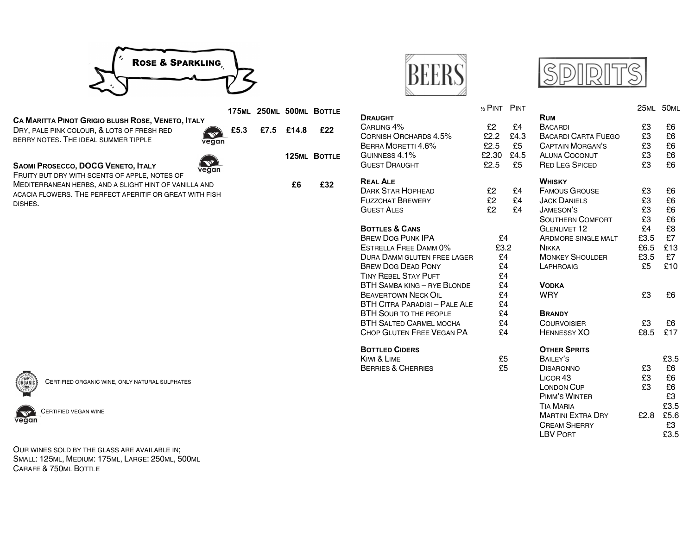

|                                                                                                                                                  |      |      |       | 175ML 250ML 500ML BOTTLE | <b>DRAUGHT</b>                                                                              | $\frac{1}{2}$<br>£<br>£ |
|--------------------------------------------------------------------------------------------------------------------------------------------------|------|------|-------|--------------------------|---------------------------------------------------------------------------------------------|-------------------------|
| Ca Maritta Pinot Grigio blush Rose, Veneto, Italy<br>DRY, PALE PINK COLOUR, & LOTS OF FRESH RED<br>BERRY NOTES. THE IDEAL SUMMER TIPPLE<br>vegan | £5.3 | £7.5 | £14.8 | £22                      | CARLING 4%<br>CORNISH ORCHARDS 4.5%<br>BERRA MORETTI 4.6%                                   |                         |
| SAOMI PROSECCO, DOCG VENETO, ITALY<br>vegan<br>FRUITY BUT DRY WITH SCENTS OF APPLE, NOTES OF                                                     |      |      |       | <b>125ML BOTTLE</b>      | GUINNESS 4.1%<br><b>GUEST DRAUGHT</b>                                                       | £2<br>£                 |
| MEDITERRANEAN HERBS, AND A SLIGHT HINT OF VANILLA AND<br>ACACIA FLOWERS. THE PERFECT APERITIF OR GREAT WITH FISH<br>DISHES.                      |      |      | £6    | £32                      | <b>REAL ALE</b><br><b>DARK STAR HOPHEAD</b><br><b>FUZZCHAT BREWERY</b><br><b>GUEST ALES</b> |                         |
|                                                                                                                                                  |      |      |       |                          | $R$ $T$ $T$ $R$ $R$ $R$ $R$ $R$                                                             |                         |



CERTIFIED ORGANIC WINE, ONLY NATURAL SULPHATES



CERTIFIED VEGAN WINE

ORGANIC CERTIFIED ORGANIC WINE, ONLY NATURAL SULPHATES<br>
CERTIFIED VEGAN WINE<br>
COUR WINES SOLD BY THE GLASS ARE AVAILABLE IN; SMALL: 125ML, MEDIUM: 175ML, LARGE: 250ML, 500ML CARAFE & 750ML BOTTLE







LBV PORT 23.5